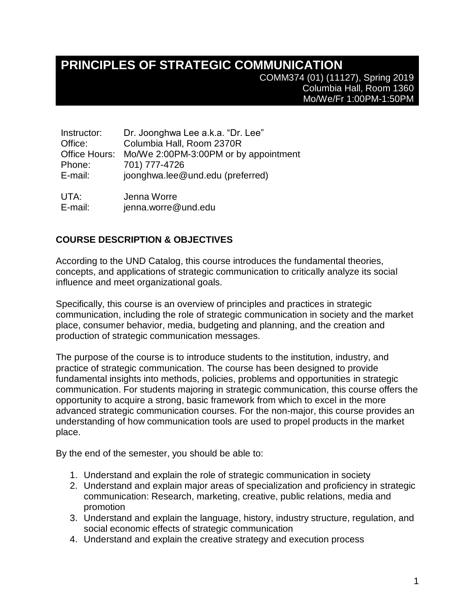# **PRINCIPLES OF STRATEGIC COMMUNICATION**

COMM374 (01) (11127), Spring 2019 Columbia Hall, Room 1360 Mo/We/Fr 1:00PM-1:50PM

| Instructor:   | Dr. Joonghwa Lee a.k.a. "Dr. Lee"     |
|---------------|---------------------------------------|
| Office:       | Columbia Hall, Room 2370R             |
| Office Hours: | Mo/We 2:00PM-3:00PM or by appointment |
| Phone:        | 701) 777-4726                         |
| E-mail:       | joonghwa.lee@und.edu (preferred)      |
|               |                                       |
| <u>IITA.</u>  | المسمالين المستمر                     |

UTA: E-mail: Jenna Worre jenna.worre@und.edu

### **COURSE DESCRIPTION & OBJECTIVES**

According to the UND Catalog, this course introduces the fundamental theories, concepts, and applications of strategic communication to critically analyze its social influence and meet organizational goals.

Specifically, this course is an overview of principles and practices in strategic communication, including the role of strategic communication in society and the market place, consumer behavior, media, budgeting and planning, and the creation and production of strategic communication messages.

The purpose of the course is to introduce students to the institution, industry, and practice of strategic communication. The course has been designed to provide fundamental insights into methods, policies, problems and opportunities in strategic communication. For students majoring in strategic communication, this course offers the opportunity to acquire a strong, basic framework from which to excel in the more advanced strategic communication courses. For the non-major, this course provides an understanding of how communication tools are used to propel products in the market place.

By the end of the semester, you should be able to:

- 1. Understand and explain the role of strategic communication in society
- 2. Understand and explain major areas of specialization and proficiency in strategic communication: Research, marketing, creative, public relations, media and promotion
- 3. Understand and explain the language, history, industry structure, regulation, and social economic effects of strategic communication
- 4. Understand and explain the creative strategy and execution process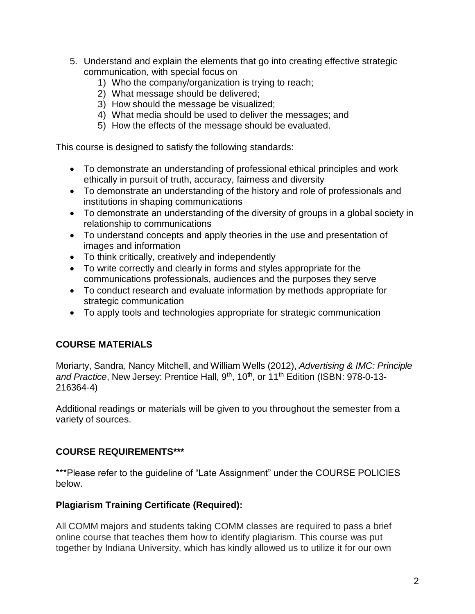- 5. Understand and explain the elements that go into creating effective strategic communication, with special focus on
	- 1) Who the company/organization is trying to reach;
	- 2) What message should be delivered;
	- 3) How should the message be visualized;
	- 4) What media should be used to deliver the messages; and
	- 5) How the effects of the message should be evaluated.

This course is designed to satisfy the following standards:

- To demonstrate an understanding of professional ethical principles and work ethically in pursuit of truth, accuracy, fairness and diversity
- To demonstrate an understanding of the history and role of professionals and institutions in shaping communications
- To demonstrate an understanding of the diversity of groups in a global society in relationship to communications
- To understand concepts and apply theories in the use and presentation of images and information
- To think critically, creatively and independently
- To write correctly and clearly in forms and styles appropriate for the communications professionals, audiences and the purposes they serve
- To conduct research and evaluate information by methods appropriate for strategic communication
- To apply tools and technologies appropriate for strategic communication

## **COURSE MATERIALS**

Moriarty, Sandra, Nancy Mitchell, and William Wells (2012), *Advertising & IMC: Principle*  and Practice, New Jersey: Prentice Hall, 9<sup>th</sup>, 10<sup>th</sup>, or 11<sup>th</sup> Edition (ISBN: 978-0-13-216364-4)

Additional readings or materials will be given to you throughout the semester from a variety of sources.

#### **COURSE REQUIREMENTS\*\*\***

\*\*\*Please refer to the guideline of "Late Assignment" under the COURSE POLICIES below.

#### **Plagiarism Training Certificate (Required):**

All COMM majors and students taking COMM classes are required to pass a brief online course that teaches them how to identify plagiarism. This course was put together by Indiana University, which has kindly allowed us to utilize it for our own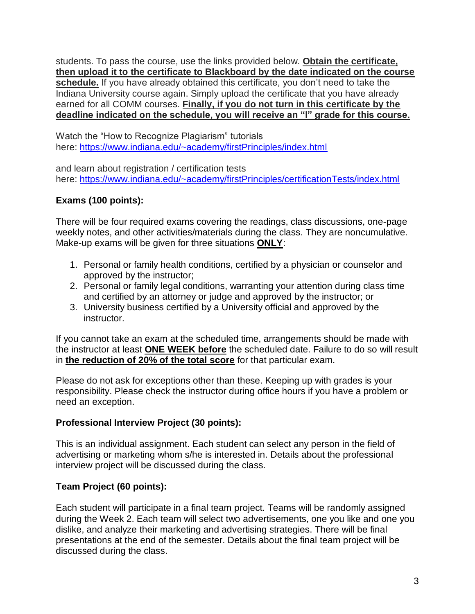students. To pass the course, use the links provided below. **Obtain the certificate, then upload it to the certificate to Blackboard by the date indicated on the course schedule.** If you have already obtained this certificate, you don't need to take the Indiana University course again. Simply upload the certificate that you have already earned for all COMM courses. **Finally, if you do not turn in this certificate by the deadline indicated on the schedule, you will receive an "I" grade for this course.**

Watch the "How to Recognize Plagiarism" tutorials here: <https://www.indiana.edu/~academy/firstPrinciples/index.html>

and learn about registration / certification tests here: <https://www.indiana.edu/~academy/firstPrinciples/certificationTests/index.html>

## **Exams (100 points):**

There will be four required exams covering the readings, class discussions, one-page weekly notes, and other activities/materials during the class. They are noncumulative. Make-up exams will be given for three situations **ONLY**:

- 1. Personal or family health conditions, certified by a physician or counselor and approved by the instructor;
- 2. Personal or family legal conditions, warranting your attention during class time and certified by an attorney or judge and approved by the instructor; or
- 3. University business certified by a University official and approved by the instructor.

If you cannot take an exam at the scheduled time, arrangements should be made with the instructor at least **ONE WEEK before** the scheduled date. Failure to do so will result in **the reduction of 20% of the total score** for that particular exam.

Please do not ask for exceptions other than these. Keeping up with grades is your responsibility. Please check the instructor during office hours if you have a problem or need an exception.

#### **Professional Interview Project (30 points):**

This is an individual assignment. Each student can select any person in the field of advertising or marketing whom s/he is interested in. Details about the professional interview project will be discussed during the class.

## **Team Project (60 points):**

Each student will participate in a final team project. Teams will be randomly assigned during the Week 2. Each team will select two advertisements, one you like and one you dislike, and analyze their marketing and advertising strategies. There will be final presentations at the end of the semester. Details about the final team project will be discussed during the class.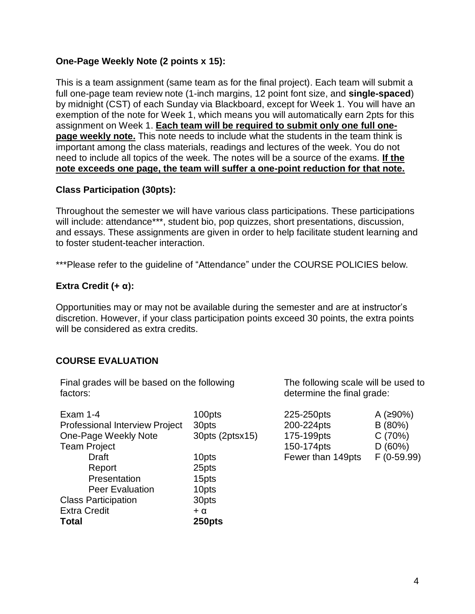#### **One-Page Weekly Note (2 points x 15):**

This is a team assignment (same team as for the final project). Each team will submit a full one-page team review note (1-inch margins, 12 point font size, and **single-spaced**) by midnight (CST) of each Sunday via Blackboard, except for Week 1. You will have an exemption of the note for Week 1, which means you will automatically earn 2pts for this assignment on Week 1. **Each team will be required to submit only one full onepage weekly note.** This note needs to include what the students in the team think is important among the class materials, readings and lectures of the week. You do not need to include all topics of the week. The notes will be a source of the exams. **If the note exceeds one page, the team will suffer a one-point reduction for that note.**

#### **Class Participation (30pts):**

Throughout the semester we will have various class participations. These participations will include: attendance\*\*\*, student bio, pop quizzes, short presentations, discussion, and essays. These assignments are given in order to help facilitate student learning and to foster student-teacher interaction.

\*\*\*Please refer to the quideline of "Attendance" under the COURSE POLICIES below.

#### **Extra Credit (+ α):**

Opportunities may or may not be available during the semester and are at instructor's discretion. However, if your class participation points exceed 30 points, the extra points will be considered as extra credits.

#### **COURSE EVALUATION**

Final grades will be based on the following factors:

| B(80%)<br>C(70%)<br>D(60%) |
|----------------------------|
|                            |
|                            |
|                            |
| $F(0-59.99)$               |
|                            |
|                            |
|                            |
|                            |
|                            |
|                            |
|                            |

The following scale will be used to determine the final grade:

| 225-250pts        | A (≥90%)    |
|-------------------|-------------|
| 200-224pts        | B(80%)      |
| 175-199pts        | C(70%)      |
| 150-174pts        | D(60%)      |
| Fewer than 149pts | F (0-59.99) |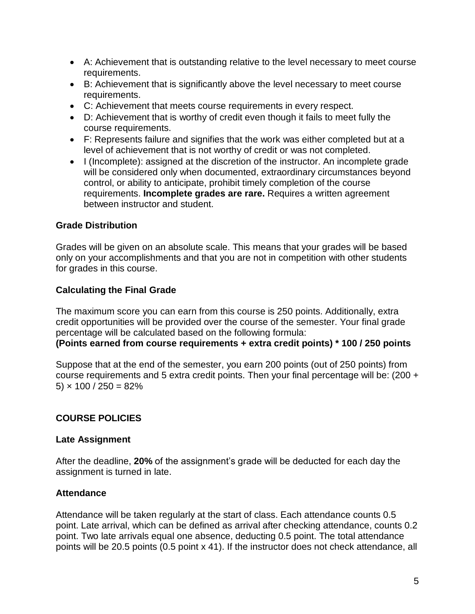- A: Achievement that is outstanding relative to the level necessary to meet course requirements.
- B: Achievement that is significantly above the level necessary to meet course requirements.
- C: Achievement that meets course requirements in every respect.
- D: Achievement that is worthy of credit even though it fails to meet fully the course requirements.
- F: Represents failure and signifies that the work was either completed but at a level of achievement that is not worthy of credit or was not completed.
- I (Incomplete): assigned at the discretion of the instructor. An incomplete grade will be considered only when documented, extraordinary circumstances beyond control, or ability to anticipate, prohibit timely completion of the course requirements. **Incomplete grades are rare.** Requires a written agreement between instructor and student.

#### **Grade Distribution**

Grades will be given on an absolute scale. This means that your grades will be based only on your accomplishments and that you are not in competition with other students for grades in this course.

#### **Calculating the Final Grade**

The maximum score you can earn from this course is 250 points. Additionally, extra credit opportunities will be provided over the course of the semester. Your final grade percentage will be calculated based on the following formula:

#### **(Points earned from course requirements + extra credit points) \* 100 / 250 points**

Suppose that at the end of the semester, you earn 200 points (out of 250 points) from course requirements and 5 extra credit points. Then your final percentage will be: (200 + 5)  $\times$  100 / 250 = 82%

#### **COURSE POLICIES**

#### **Late Assignment**

After the deadline, **20%** of the assignment's grade will be deducted for each day the assignment is turned in late.

#### **Attendance**

Attendance will be taken regularly at the start of class. Each attendance counts 0.5 point. Late arrival, which can be defined as arrival after checking attendance, counts 0.2 point. Two late arrivals equal one absence, deducting 0.5 point. The total attendance points will be 20.5 points (0.5 point x 41). If the instructor does not check attendance, all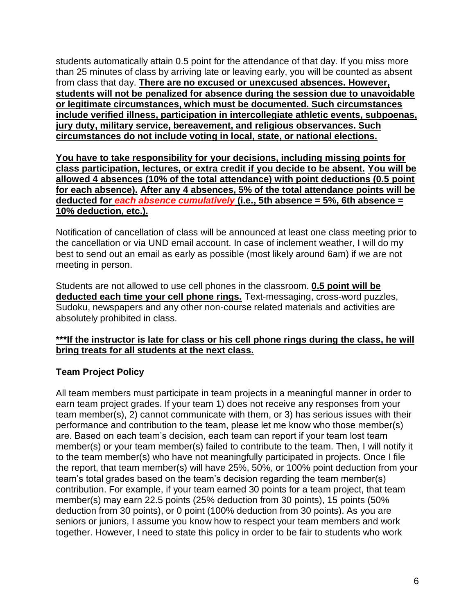students automatically attain 0.5 point for the attendance of that day. If you miss more than 25 minutes of class by arriving late or leaving early, you will be counted as absent from class that day. **There are no excused or unexcused absences. However, students will not be penalized for absence during the session due to unavoidable or legitimate circumstances, which must be documented. Such circumstances include verified illness, participation in intercollegiate athletic events, subpoenas, jury duty, military service, bereavement, and religious observances. Such circumstances do not include voting in local, state, or national elections.**

**You have to take responsibility for your decisions, including missing points for class participation, lectures, or extra credit if you decide to be absent. You will be allowed 4 absences (10% of the total attendance) with point deductions (0.5 point for each absence). After any 4 absences, 5% of the total attendance points will be deducted for** *each absence cumulatively* **(i.e., 5th absence = 5%, 6th absence = 10% deduction, etc.).**

Notification of cancellation of class will be announced at least one class meeting prior to the cancellation or via UND email account. In case of inclement weather, I will do my best to send out an email as early as possible (most likely around 6am) if we are not meeting in person.

Students are not allowed to use cell phones in the classroom. **0.5 point will be deducted each time your cell phone rings.** Text-messaging, cross-word puzzles, Sudoku, newspapers and any other non-course related materials and activities are absolutely prohibited in class.

#### **\*\*\*If the instructor is late for class or his cell phone rings during the class, he will bring treats for all students at the next class.**

#### **Team Project Policy**

All team members must participate in team projects in a meaningful manner in order to earn team project grades. If your team 1) does not receive any responses from your team member(s), 2) cannot communicate with them, or 3) has serious issues with their performance and contribution to the team, please let me know who those member(s) are. Based on each team's decision, each team can report if your team lost team member(s) or your team member(s) failed to contribute to the team. Then, I will notify it to the team member(s) who have not meaningfully participated in projects. Once I file the report, that team member(s) will have 25%, 50%, or 100% point deduction from your team's total grades based on the team's decision regarding the team member(s) contribution. For example, if your team earned 30 points for a team project, that team member(s) may earn 22.5 points (25% deduction from 30 points), 15 points (50% deduction from 30 points), or 0 point (100% deduction from 30 points). As you are seniors or juniors, I assume you know how to respect your team members and work together. However, I need to state this policy in order to be fair to students who work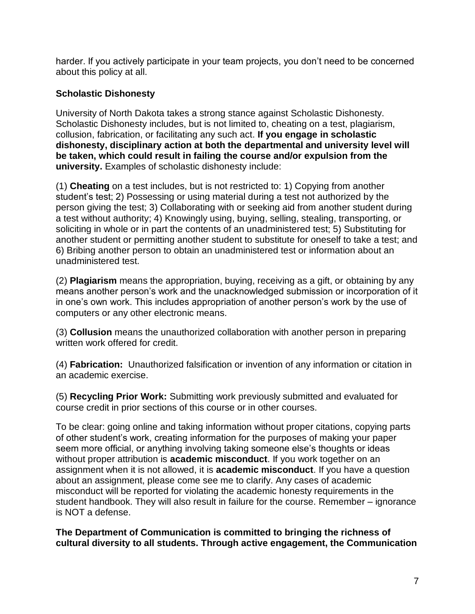harder. If you actively participate in your team projects, you don't need to be concerned about this policy at all.

#### **Scholastic Dishonesty**

University of North Dakota takes a strong stance against Scholastic Dishonesty. Scholastic Dishonesty includes, but is not limited to, cheating on a test, plagiarism, collusion, fabrication, or facilitating any such act. **If you engage in scholastic dishonesty, disciplinary action at both the departmental and university level will be taken, which could result in failing the course and/or expulsion from the university.** Examples of scholastic dishonesty include:

(1) **Cheating** on a test includes, but is not restricted to: 1) Copying from another student's test; 2) Possessing or using material during a test not authorized by the person giving the test; 3) Collaborating with or seeking aid from another student during a test without authority; 4) Knowingly using, buying, selling, stealing, transporting, or soliciting in whole or in part the contents of an unadministered test; 5) Substituting for another student or permitting another student to substitute for oneself to take a test; and 6) Bribing another person to obtain an unadministered test or information about an unadministered test.

(2) **Plagiarism** means the appropriation, buying, receiving as a gift, or obtaining by any means another person's work and the unacknowledged submission or incorporation of it in one's own work. This includes appropriation of another person's work by the use of computers or any other electronic means.

(3) **Collusion** means the unauthorized collaboration with another person in preparing written work offered for credit.

(4) **Fabrication:** Unauthorized falsification or invention of any information or citation in an academic exercise.

(5) **Recycling Prior Work:** Submitting work previously submitted and evaluated for course credit in prior sections of this course or in other courses.

To be clear: going online and taking information without proper citations, copying parts of other student's work, creating information for the purposes of making your paper seem more official, or anything involving taking someone else's thoughts or ideas without proper attribution is **academic misconduct**. If you work together on an assignment when it is not allowed, it is **academic misconduct**. If you have a question about an assignment, please come see me to clarify. Any cases of academic misconduct will be reported for violating the academic honesty requirements in the student handbook. They will also result in failure for the course. Remember – ignorance is NOT a defense.

**The Department of Communication is committed to bringing the richness of cultural diversity to all students. Through active engagement, the Communication**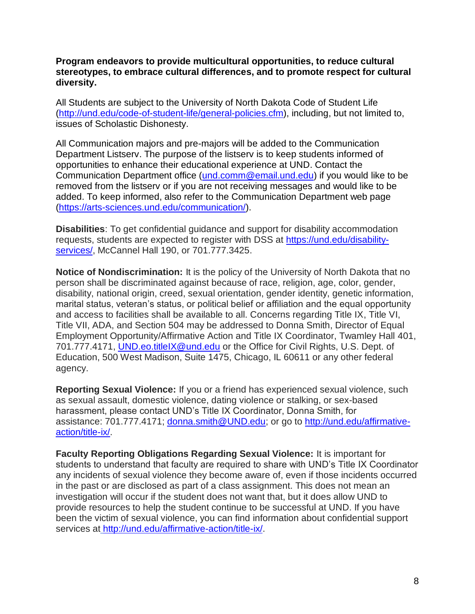**Program endeavors to provide multicultural opportunities, to reduce cultural stereotypes, to embrace cultural differences, and to promote respect for cultural diversity.**

All Students are subject to the University of North Dakota Code of Student Life [\(http://und.edu/code-of-student-life/general-policies.cfm\)](http://und.edu/code-of-student-life/general-policies.cfm), including, but not limited to, issues of Scholastic Dishonesty.

All Communication majors and pre-majors will be added to the Communication Department Listserv. The purpose of the listserv is to keep students informed of opportunities to enhance their educational experience at UND. Contact the Communication Department office [\(und.comm@email.und.edu\)](mailto:und.comm@email.und.edu) if you would like to be removed from the listserv or if you are not receiving messages and would like to be added. To keep informed, also refer to the Communication Department web page (https://arts-sciences.und.edu/communication/).

**Disabilities**: To get confidential guidance and support for disability accommodation requests, students are expected to register with DSS at [https://und.edu/disability](https://und.edu/disability-services/)[services/,](https://und.edu/disability-services/) McCannel Hall 190, or 701.777.3425.

**Notice of Nondiscrimination:** It is the policy of the University of North Dakota that no person shall be discriminated against because of race, religion, age, color, gender, disability, national origin, creed, sexual orientation, gender identity, genetic information, marital status, veteran's status, or political belief or affiliation and the equal opportunity and access to facilities shall be available to all. Concerns regarding Title IX, Title VI, Title VII, ADA, and Section 504 may be addressed to Donna Smith, Director of Equal Employment Opportunity/Affirmative Action and Title IX Coordinator, Twamley Hall 401, 701.777.4171, [UND.eo.titleIX@und.edu](mailto:UND.eo.titleIX@und.edu) or the Office for Civil Rights, U.S. Dept. of Education, 500 West Madison, Suite 1475, Chicago, IL 60611 or any other federal agency.

**Reporting Sexual Violence:** If you or a friend has experienced sexual violence, such as sexual assault, domestic violence, dating violence or stalking, or sex-based harassment, please contact UND's Title IX Coordinator, Donna Smith, for assistance: 701.777.4171; [donna.smith@UND.edu;](mailto:donna.smith@UND.edu) or go to [http://und.edu/affirmative](http://und.edu/affirmative-action/title-ix/)[action/title-ix/.](http://und.edu/affirmative-action/title-ix/)

**Faculty Reporting Obligations Regarding Sexual Violence:** It is important for students to understand that faculty are required to share with UND's Title IX Coordinator any incidents of sexual violence they become aware of, even if those incidents occurred in the past or are disclosed as part of a class assignment. This does not mean an investigation will occur if the student does not want that, but it does allow UND to provide resources to help the student continue to be successful at UND. If you have been the victim of sexual violence, you can find information about confidential support services at [http://und.edu/affirmative-action/title-ix/.](http://und.edu/affirmative-action/title-ix/)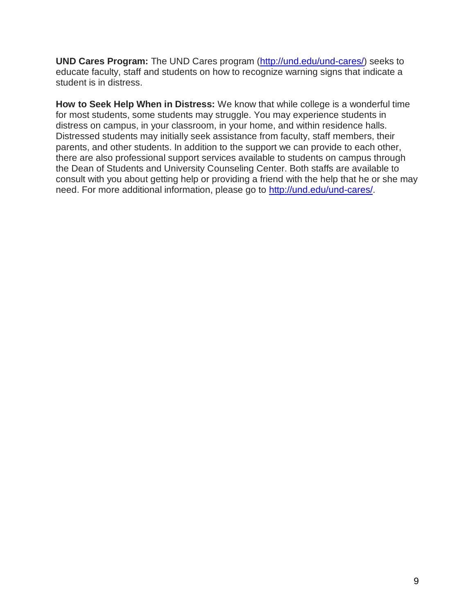**UND Cares Program:** The UND Cares program [\(http://und.edu/und-cares/\)](http://und.edu/und-cares/) seeks to educate faculty, staff and students on how to recognize warning signs that indicate a student is in distress.

**How to Seek Help When in Distress:** We know that while college is a wonderful time for most students, some students may struggle. You may experience students in distress on campus, in your classroom, in your home, and within residence halls. Distressed students may initially seek assistance from faculty, staff members, their parents, and other students. In addition to the support we can provide to each other, there are also professional support services available to students on campus through the Dean of Students and University Counseling Center. Both staffs are available to consult with you about getting help or providing a friend with the help that he or she may need. For more additional information, please go to [http://und.edu/und-cares/.](http://und.edu/und-cares/)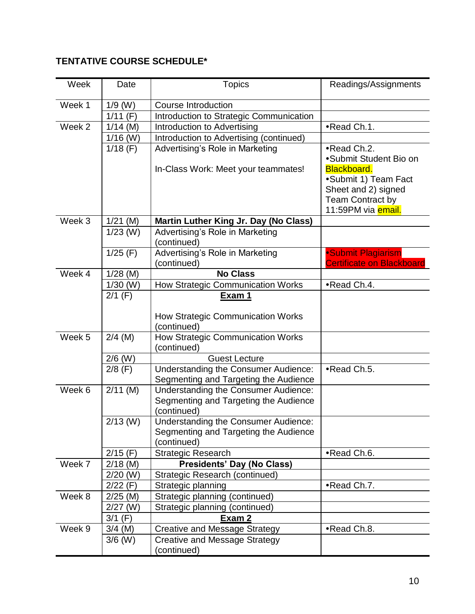| Week   | Date                   | <b>Topics</b>                                    | Readings/Assignments             |
|--------|------------------------|--------------------------------------------------|----------------------------------|
| Week 1 | $1/9$ (W)              | <b>Course Introduction</b>                       |                                  |
|        | $1/11$ (F)             | Introduction to Strategic Communication          |                                  |
| Week 2 | $1/14$ (M)             | Introduction to Advertising                      | •Read Ch.1.                      |
|        | $1/16$ (W)             | Introduction to Advertising (continued)          |                                  |
|        | $1/18$ (F)             | Advertising's Role in Marketing                  | •Read Ch.2.                      |
|        |                        |                                                  | •Submit Student Bio on           |
|        |                        | In-Class Work: Meet your teammates!              | <b>Blackboard.</b>               |
|        |                        |                                                  | •Submit 1) Team Fact             |
|        |                        |                                                  | Sheet and 2) signed              |
|        |                        |                                                  | <b>Team Contract by</b>          |
|        |                        |                                                  | 11:59PM via email.               |
| Week 3 | $1/21$ (M)             | Martin Luther King Jr. Day (No Class)            |                                  |
|        | $1/23$ (W)             | Advertising's Role in Marketing                  |                                  |
|        |                        | (continued)                                      |                                  |
|        | $1/25$ (F)             | Advertising's Role in Marketing                  | <b>Submit Plagiarism</b>         |
|        |                        | (continued)                                      | <b>Certificate on Blackboard</b> |
| Week 4 | $1/28$ (M)             | <b>No Class</b>                                  |                                  |
|        | $1/30$ (W)             | How Strategic Communication Works                | •Read Ch.4.                      |
|        | $2/1$ (F)              | Exam 1                                           |                                  |
|        |                        |                                                  |                                  |
|        |                        | How Strategic Communication Works                |                                  |
| Week 5 |                        | (continued)                                      |                                  |
|        | $2/4$ (M)              | How Strategic Communication Works<br>(continued) |                                  |
|        |                        | <b>Guest Lecture</b>                             |                                  |
|        | $2/6$ (W)<br>$2/8$ (F) | <b>Understanding the Consumer Audience:</b>      | •Read Ch.5.                      |
|        |                        | Segmenting and Targeting the Audience            |                                  |
| Week 6 | $2/11$ (M)             | <b>Understanding the Consumer Audience:</b>      |                                  |
|        |                        | Segmenting and Targeting the Audience            |                                  |
|        |                        | (continued)                                      |                                  |
|        | $2/13$ (W)             | <b>Understanding the Consumer Audience:</b>      |                                  |
|        |                        | Segmenting and Targeting the Audience            |                                  |
|        |                        | (continued)                                      |                                  |
|        | $2/15$ (F)             | <b>Strategic Research</b>                        | •Read Ch.6.                      |
| Week 7 | $2/18$ (M)             | <b>Presidents' Day (No Class)</b>                |                                  |
|        | $2/20$ (W)             | Strategic Research (continued)                   |                                  |
|        | $2/22$ (F)             | Strategic planning                               | •Read Ch.7.                      |
| Week 8 | $2/25$ (M)             | Strategic planning (continued)                   |                                  |
|        | $2/27$ (W)             | Strategic planning (continued)                   |                                  |
|        | $3/1$ (F)              | Exam 2                                           |                                  |
| Week 9 | $3/4$ (M)              | <b>Creative and Message Strategy</b>             | •Read Ch.8.                      |
|        | $3/6$ (W)              | <b>Creative and Message Strategy</b>             |                                  |
|        |                        | (continued)                                      |                                  |

## **TENTATIVE COURSE SCHEDULE\***